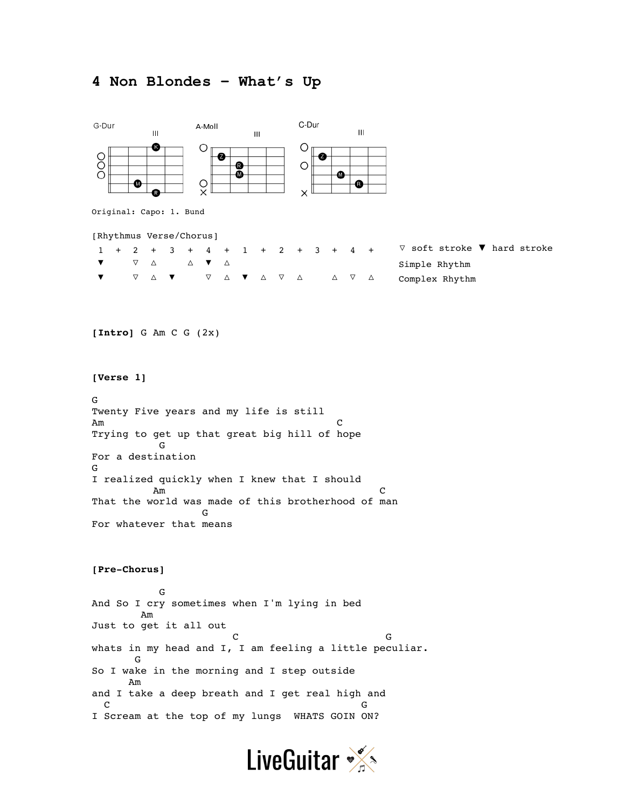## **4 Non Blondes – What's Up**